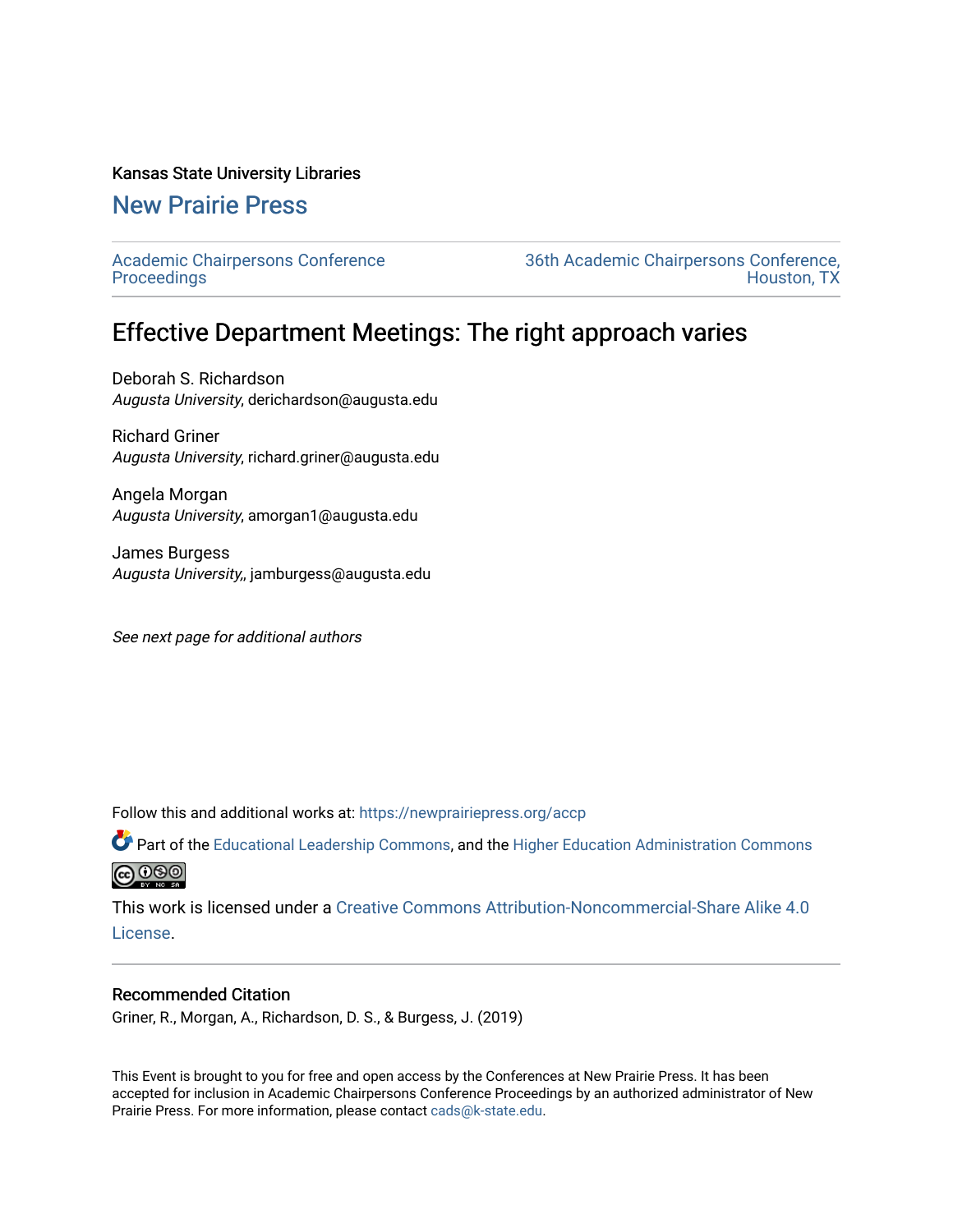### Kansas State University Libraries

## [New Prairie Press](https://newprairiepress.org/)

[Academic Chairpersons Conference](https://newprairiepress.org/accp)  **Proceedings** 

[36th Academic Chairpersons Conference,](https://newprairiepress.org/accp/2019)  [Houston, TX](https://newprairiepress.org/accp/2019) 

# Effective Department Meetings: The right approach varies

Deborah S. Richardson Augusta University, derichardson@augusta.edu

Richard Griner Augusta University, richard.griner@augusta.edu

Angela Morgan Augusta University, amorgan1@augusta.edu

James Burgess Augusta University,, jamburgess@augusta.edu

See next page for additional authors

Follow this and additional works at: [https://newprairiepress.org/accp](https://newprairiepress.org/accp?utm_source=newprairiepress.org%2Faccp%2F2019%2Fleadership%2F5&utm_medium=PDF&utm_campaign=PDFCoverPages) 

Part of the [Educational Leadership Commons,](http://network.bepress.com/hgg/discipline/1230?utm_source=newprairiepress.org%2Faccp%2F2019%2Fleadership%2F5&utm_medium=PDF&utm_campaign=PDFCoverPages) and the [Higher Education Administration Commons](http://network.bepress.com/hgg/discipline/791?utm_source=newprairiepress.org%2Faccp%2F2019%2Fleadership%2F5&utm_medium=PDF&utm_campaign=PDFCoverPages) **@000** 

This work is licensed under a [Creative Commons Attribution-Noncommercial-Share Alike 4.0](https://creativecommons.org/licenses/by-nc-sa/4.0/) [License.](https://creativecommons.org/licenses/by-nc-sa/4.0/)

### Recommended Citation

Griner, R., Morgan, A., Richardson, D. S., & Burgess, J. (2019)

This Event is brought to you for free and open access by the Conferences at New Prairie Press. It has been accepted for inclusion in Academic Chairpersons Conference Proceedings by an authorized administrator of New Prairie Press. For more information, please contact [cads@k-state.edu.](mailto:cads@k-state.edu)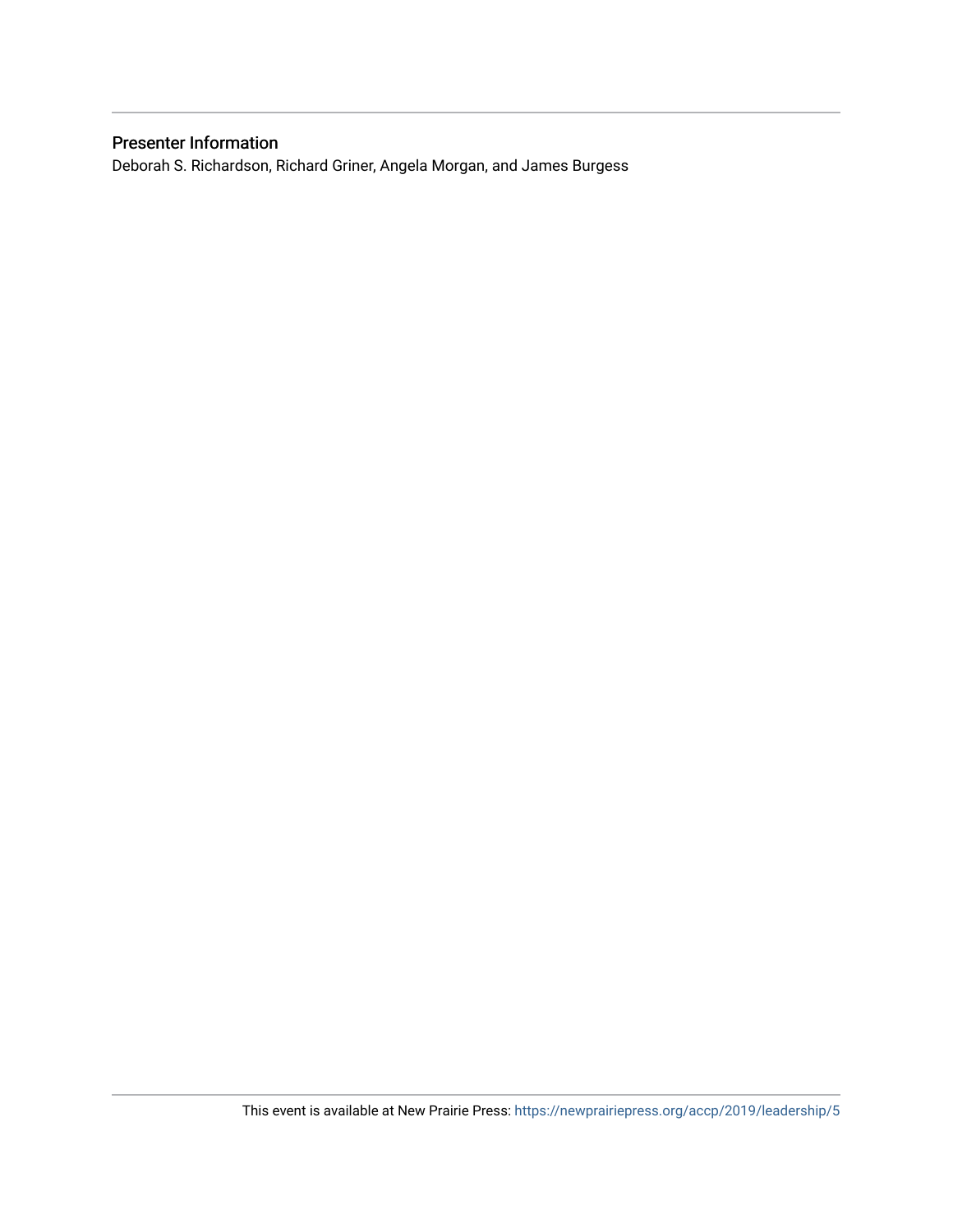### Presenter Information

Deborah S. Richardson, Richard Griner, Angela Morgan, and James Burgess